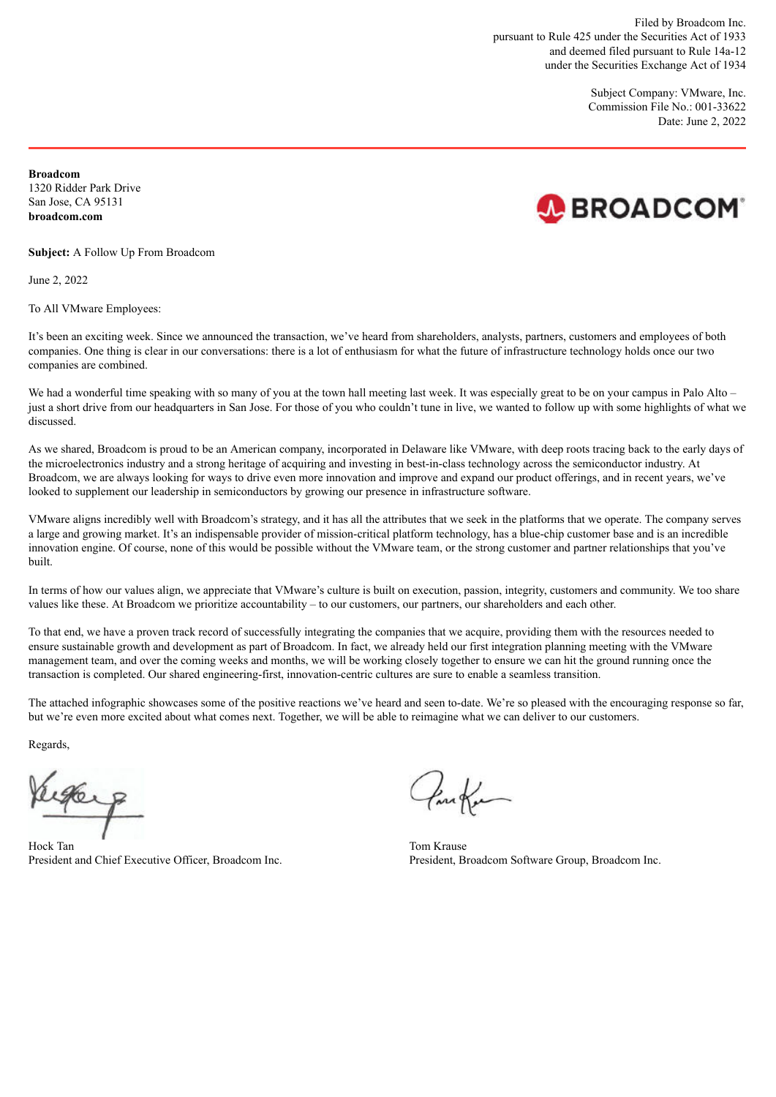Filed by Broadcom Inc. pursuant to Rule 425 under the Securities Act of 1933 and deemed filed pursuant to Rule 14a-12 under the Securities Exchange Act of 1934

> Subject Company: VMware, Inc. Commission File No.: 001-33622 Date: June 2, 2022

**Broadcom** 1320 Ridder Park Drive San Jose, CA 95131 **broadcom.com**



**Subject:** A Follow Up From Broadcom

June 2, 2022

To All VMware Employees:

It's been an exciting week. Since we announced the transaction, we've heard from shareholders, analysts, partners, customers and employees of both companies. One thing is clear in our conversations: there is a lot of enthusiasm for what the future of infrastructure technology holds once our two companies are combined.

We had a wonderful time speaking with so many of you at the town hall meeting last week. It was especially great to be on your campus in Palo Alto – just a short drive from our headquarters in San Jose. For those of you who couldn't tune in live, we wanted to follow up with some highlights of what we discussed.

As we shared, Broadcom is proud to be an American company, incorporated in Delaware like VMware, with deep roots tracing back to the early days of the microelectronics industry and a strong heritage of acquiring and investing in best-in-class technology across the semiconductor industry. At Broadcom, we are always looking for ways to drive even more innovation and improve and expand our product offerings, and in recent years, we've looked to supplement our leadership in semiconductors by growing our presence in infrastructure software.

VMware aligns incredibly well with Broadcom's strategy, and it has all the attributes that we seek in the platforms that we operate. The company serves a large and growing market. It's an indispensable provider of mission-critical platform technology, has a blue-chip customer base and is an incredible innovation engine. Of course, none of this would be possible without the VMware team, or the strong customer and partner relationships that you've built.

In terms of how our values align, we appreciate that VMware's culture is built on execution, passion, integrity, customers and community. We too share values like these. At Broadcom we prioritize accountability – to our customers, our partners, our shareholders and each other.

To that end, we have a proven track record of successfully integrating the companies that we acquire, providing them with the resources needed to ensure sustainable growth and development as part of Broadcom. In fact, we already held our first integration planning meeting with the VMware management team, and over the coming weeks and months, we will be working closely together to ensure we can hit the ground running once the transaction is completed. Our shared engineering-first, innovation-centric cultures are sure to enable a seamless transition.

The attached infographic showcases some of the positive reactions we've heard and seen to-date. We're so pleased with the encouraging response so far, but we're even more excited about what comes next. Together, we will be able to reimagine what we can deliver to our customers.

Regards,

1960

Hock Tan Tom Krause **The Tom Krause** Tom Krause **Tom Krause** President and Chief Executive Officer, Broadcom Inc. President, Broadcom Software Group, Broadcom Inc.

Confer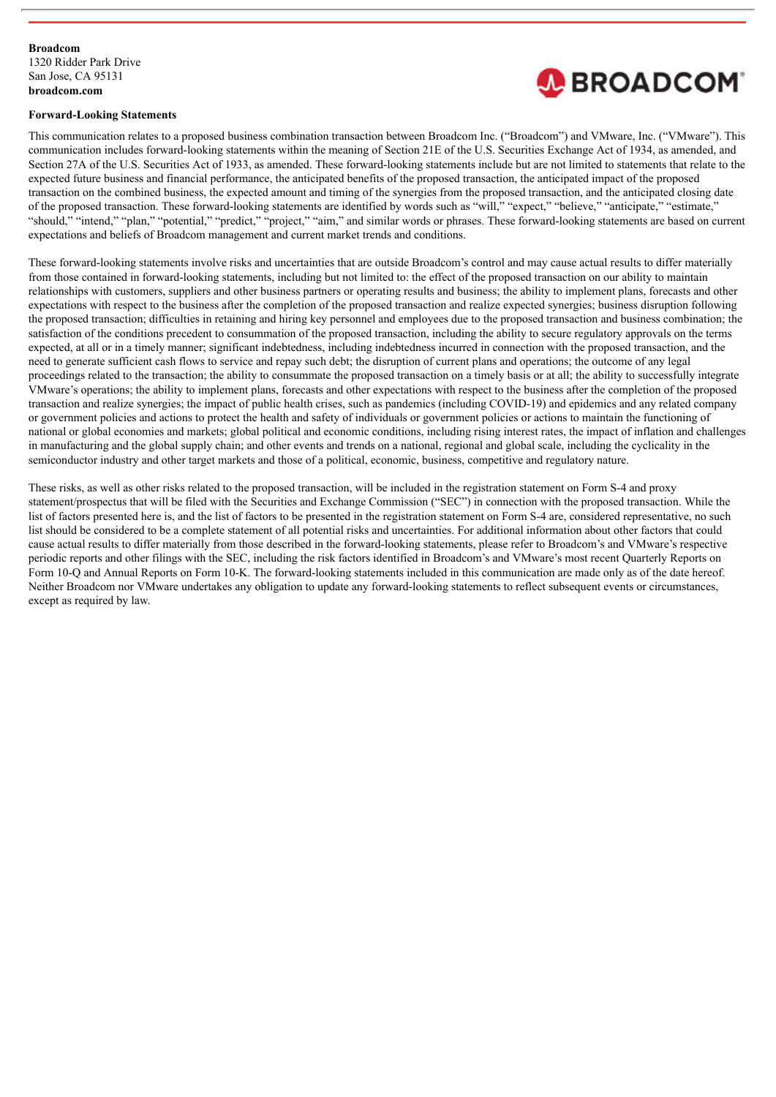

#### **Forward-Looking Statements**

This communication relates to a proposed business combination transaction between Broadcom Inc. ("Broadcom") and VMware, Inc. ("VMware"). This communication includes forward-looking statements within the meaning of Section 21E of the U.S. Securities Exchange Act of 1934, as amended, and Section 27A of the U.S. Securities Act of 1933, as amended. These forward-looking statements include but are not limited to statements that relate to the expected future business and financial performance, the anticipated benefits of the proposed transaction, the anticipated impact of the proposed transaction on the combined business, the expected amount and timing of the synergies from the proposed transaction, and the anticipated closing date of the proposed transaction. These forward-looking statements are identified by words such as "will," "expect," "believe," "anticipate," "estimate," "should," "intend," "plan," "potential," "predict," "project," "aim," and similar words or phrases. These forward-looking statements are based on current expectations and beliefs of Broadcom management and current market trends and conditions.

These forward-looking statements involve risks and uncertainties that are outside Broadcom's control and may cause actual results to differ materially from those contained in forward-looking statements, including but not limited to: the effect of the proposed transaction on our ability to maintain relationships with customers, suppliers and other business partners or operating results and business; the ability to implement plans, forecasts and other expectations with respect to the business after the completion of the proposed transaction and realize expected synergies; business disruption following the proposed transaction; difficulties in retaining and hiring key personnel and employees due to the proposed transaction and business combination; the satisfaction of the conditions precedent to consummation of the proposed transaction, including the ability to secure regulatory approvals on the terms expected, at all or in a timely manner; significant indebtedness, including indebtedness incurred in connection with the proposed transaction, and the need to generate sufficient cash flows to service and repay such debt; the disruption of current plans and operations; the outcome of any legal proceedings related to the transaction; the ability to consummate the proposed transaction on a timely basis or at all; the ability to successfully integrate VMware's operations; the ability to implement plans, forecasts and other expectations with respect to the business after the completion of the proposed transaction and realize synergies; the impact of public health crises, such as pandemics (including COVID-19) and epidemics and any related company or government policies and actions to protect the health and safety of individuals or government policies or actions to maintain the functioning of national or global economies and markets; global political and economic conditions, including rising interest rates, the impact of inflation and challenges in manufacturing and the global supply chain; and other events and trends on a national, regional and global scale, including the cyclicality in the semiconductor industry and other target markets and those of a political, economic, business, competitive and regulatory nature.

These risks, as well as other risks related to the proposed transaction, will be included in the registration statement on Form S-4 and proxy statement/prospectus that will be filed with the Securities and Exchange Commission ("SEC") in connection with the proposed transaction. While the list of factors presented here is, and the list of factors to be presented in the registration statement on Form S-4 are, considered representative, no such list should be considered to be a complete statement of all potential risks and uncertainties. For additional information about other factors that could cause actual results to differ materially from those described in the forward-looking statements, please refer to Broadcom's and VMware's respective periodic reports and other filings with the SEC, including the risk factors identified in Broadcom's and VMware's most recent Quarterly Reports on Form 10-Q and Annual Reports on Form 10-K. The forward-looking statements included in this communication are made only as of the date hereof. Neither Broadcom nor VMware undertakes any obligation to update any forward-looking statements to reflect subsequent events or circumstances, except as required by law.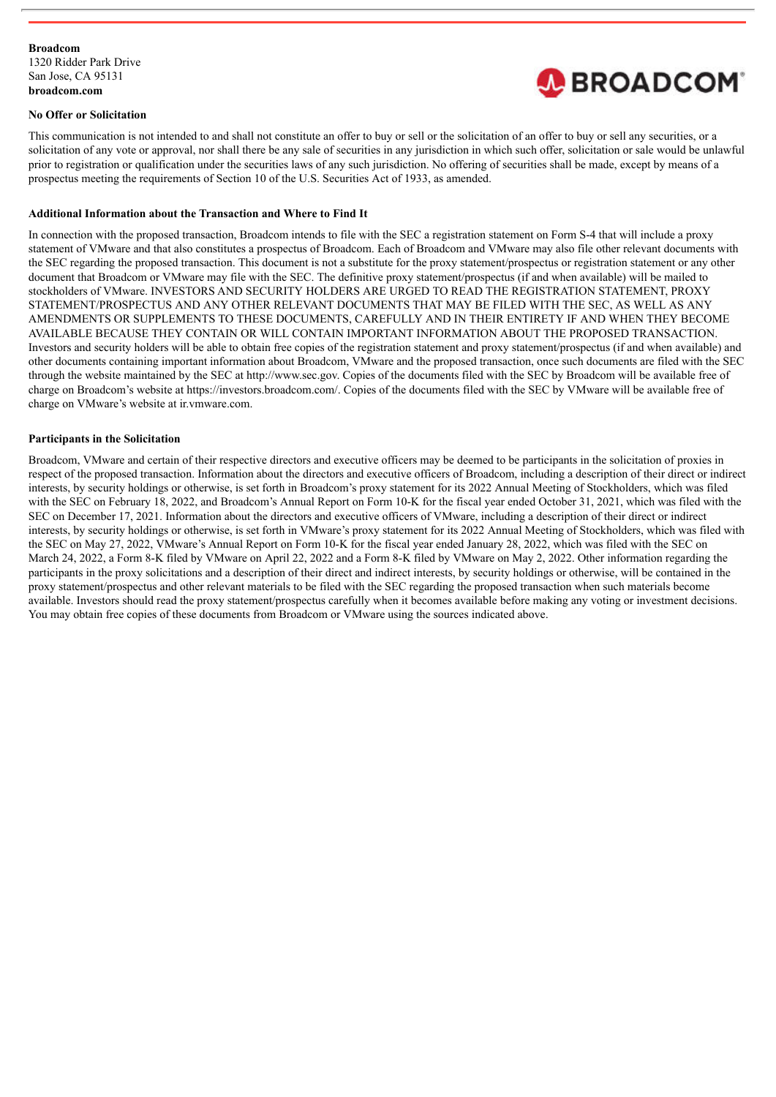

#### **No Offer or Solicitation**

This communication is not intended to and shall not constitute an offer to buy or sell or the solicitation of an offer to buy or sell any securities, or a solicitation of any vote or approval, nor shall there be any sale of securities in any jurisdiction in which such offer, solicitation or sale would be unlawful prior to registration or qualification under the securities laws of any such jurisdiction. No offering of securities shall be made, except by means of a prospectus meeting the requirements of Section 10 of the U.S. Securities Act of 1933, as amended.

#### **Additional Information about the Transaction and Where to Find It**

In connection with the proposed transaction, Broadcom intends to file with the SEC a registration statement on Form S-4 that will include a proxy statement of VMware and that also constitutes a prospectus of Broadcom. Each of Broadcom and VMware may also file other relevant documents with the SEC regarding the proposed transaction. This document is not a substitute for the proxy statement/prospectus or registration statement or any other document that Broadcom or VMware may file with the SEC. The definitive proxy statement/prospectus (if and when available) will be mailed to stockholders of VMware. INVESTORS AND SECURITY HOLDERS ARE URGED TO READ THE REGISTRATION STATEMENT, PROXY STATEMENT/PROSPECTUS AND ANY OTHER RELEVANT DOCUMENTS THAT MAY BE FILED WITH THE SEC, AS WELL AS ANY AMENDMENTS OR SUPPLEMENTS TO THESE DOCUMENTS, CAREFULLY AND IN THEIR ENTIRETY IF AND WHEN THEY BECOME AVAILABLE BECAUSE THEY CONTAIN OR WILL CONTAIN IMPORTANT INFORMATION ABOUT THE PROPOSED TRANSACTION. Investors and security holders will be able to obtain free copies of the registration statement and proxy statement/prospectus (if and when available) and other documents containing important information about Broadcom, VMware and the proposed transaction, once such documents are filed with the SEC through the website maintained by the SEC at http://www.sec.gov. Copies of the documents filed with the SEC by Broadcom will be available free of charge on Broadcom's website at https://investors.broadcom.com/. Copies of the documents filed with the SEC by VMware will be available free of charge on VMware's website at ir.vmware.com.

#### **Participants in the Solicitation**

Broadcom, VMware and certain of their respective directors and executive officers may be deemed to be participants in the solicitation of proxies in respect of the proposed transaction. Information about the directors and executive officers of Broadcom, including a description of their direct or indirect interests, by security holdings or otherwise, is set forth in Broadcom's proxy statement for its 2022 Annual Meeting of Stockholders, which was filed with the SEC on February 18, 2022, and Broadcom's Annual Report on Form 10-K for the fiscal year ended October 31, 2021, which was filed with the SEC on December 17, 2021. Information about the directors and executive officers of VMware, including a description of their direct or indirect interests, by security holdings or otherwise, is set forth in VMware's proxy statement for its 2022 Annual Meeting of Stockholders, which was filed with the SEC on May 27, 2022, VMware's Annual Report on Form 10-K for the fiscal year ended January 28, 2022, which was filed with the SEC on March 24, 2022, a Form 8-K filed by VMware on April 22, 2022 and a Form 8-K filed by VMware on May 2, 2022. Other information regarding the participants in the proxy solicitations and a description of their direct and indirect interests, by security holdings or otherwise, will be contained in the proxy statement/prospectus and other relevant materials to be filed with the SEC regarding the proposed transaction when such materials become available. Investors should read the proxy statement/prospectus carefully when it becomes available before making any voting or investment decisions. You may obtain free copies of these documents from Broadcom or VMware using the sources indicated above.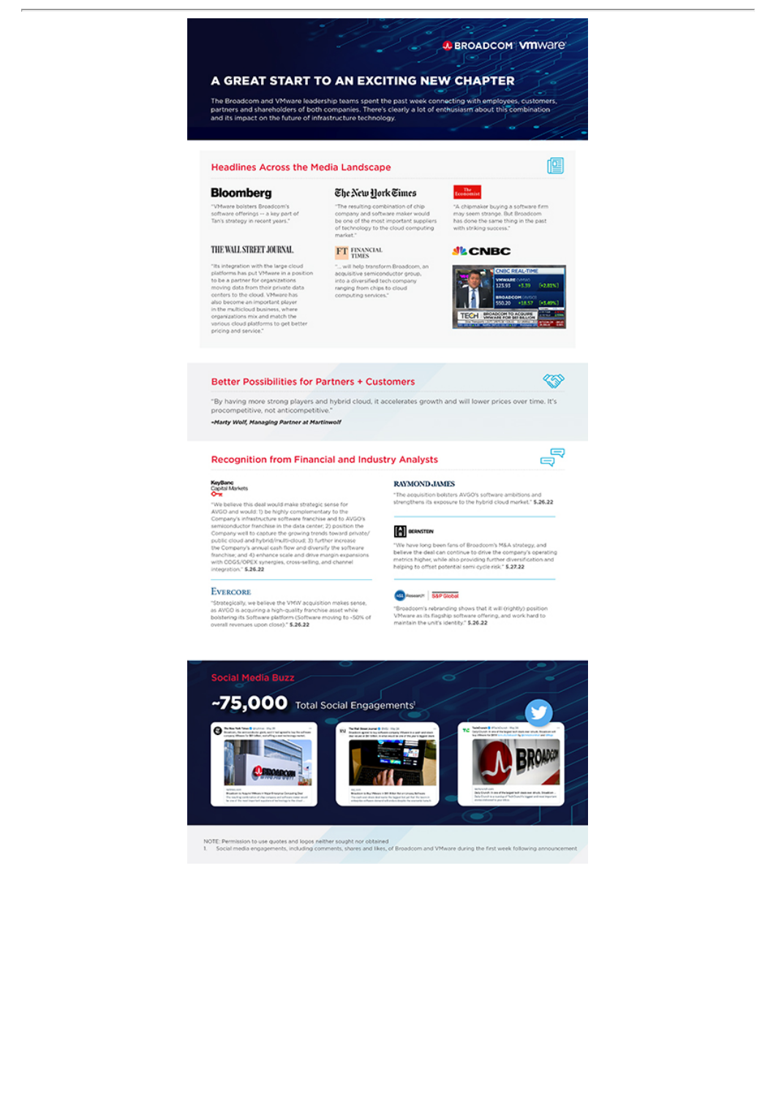٠

匫

′

ಕ್ತಿ

### A GREAT START TO AN EXCITING NEW CHAPTER

The Broadcom and VMware leadership teams spent the past week connecting with employees, customers, partners, and shareholders of both companies. There's clearly a lot of enthusiasm about this combination<br>and its impact on

#### **Headlines Across the Media Landscape**

#### **Bloomberg**

"VMware bolsters Broadcom's<br>software offerings -- a key part of<br>Tan's strategy in recent years."

#### THE WALL STREET JOURNAL

"Its integration with the large cloud<br>platforms has put VMware in a position<br>to be a partner for organizations<br>moving data from their private data<br>consters to the cloud. VMware has<br>also become an important player<br>in the mu pricing and service."

# "The resulting combination of chip<br>company and software maker would<br>be one of the most important suppliers<br>of technology to the cloud computing<br>market."

The New York Times

 $\mathbf{FT}$  FINANCIAL TIMES 

# Tronomia "A chipmaker buying a software firm<br>may seem strange. But Broadcom<br>has done the same thing in the past<br>with striking success."

**JE CNBC** 



#### **Better Possibilities for Partners + Customers**

"By having more strong players and hybrid cloud, it accelerates growth and will lower prices over time. It's procompetitive, not anticompetitive.

-Marty Wolf, Managing Partner at Martinwolf

#### **Recognition from Financial and Industry Analysts**



 $\fbox{\parbox{0.9\textwidth}{\begin{minipage}[t]{0.9\textwidth}\begin{itemize} {\bf O}-{\bf W} & \mbox{\textwidth}{\begin{minipage}[t]{0.9\textwidth}\begin{itemize} {\bf O}-{\bf W} & \mbox{\textwidth}{\begin{minipage}[t]{0.9\textwidth}\begin{itemize} {\bf O}-{\bf W} & \mbox{\textwidth{th}} \\ {\bf O} & {\bf W} & \mbox{\textwidth{th}} \end{itemize} } \end{itemize} }} \end{itemize} }} \end{itemize} } \begin{minipage}[t]{0.9\textwidth}\begin{itemize} {\bf O} & \mbox{\textwidth{th}} \\ {\bf O} & {\bf W} &$ integration," \$.26.22

#### **EVERCORE**

"Strategically, we believe the VMW acquisition makes sense,<br>as AVGO is acquiring a high-quality franchise asset while<br>bolstering its Software platform (Software moving to -SO% of<br>overall revenues upon close): "\$.26.22



## **RAYMOND, JAMES**

"The acquisition belisters AVGO's software ambitions and<br>strengthens its exposure to the hybrid cloud market." \$.26.22

#### **E** eERNSTEN

"We have long been fans of Broadcom's M&A strategy, and<br>believe the deal can continue to drive the oompany's operating<br>metrics higher, while also providing further diversification and<br>helping to offset potential semi cycle

#### **CO** Presencit: 55P Global

"Broadcom's rebranding shows that it will (rightly) position<br>Vihware as its flagship software offering, and work hard to<br>maintain the unit's identity." \$.26.22



NOTE: Permission to use quotes and logos neither sought nor obtained<br>1. Social media engagements, including comments, shares and likes, of Broadcom and VMware during the first week following annou